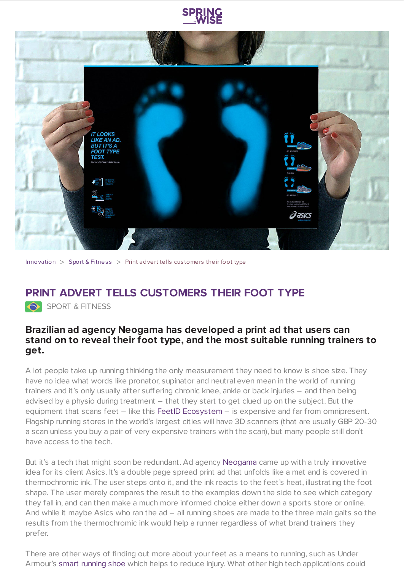



[Innovation](https://www.springwise.com/search?type=innovation)  $>$  Sport & [Fitnes](https://www.springwise.com/search?type=innovation§or=sport-fitness)s  $>$  Print advert tells customers their foot type

## **PRINT ADVERT TELLS CUSTOMERS THEIR FOOT TYPE**

SPORT & FITNESS

## **Brazilian ad agency Neogama has developed a print ad that users can stand on to reveal their foot type, and the most suitable running trainers to get.**

A lot people take up running thinking the only measurement they need to know is shoe size. They have no idea what words like pronator, supinator and neutral even mean in the world of running trainers and it's only usually after suffering chronic knee, ankle or back injuries – and then being advised by a physio during treatment – that they start to get clued up on the subject. But the equipment that scans feet - like this FeetID [Ecosystem](https://www.springwise.com/fashion-tech-company-launches-3d-foot-scanner-shoe-shopping/) - is expensive and far from omnipresent. Flagship running stores in the world's largest cities will have 3D scanners (that are usually GBP 20-30 a scan unless you buy a pair of very expensive trainers with the scan), but many people still don't have access to the tech.

But it's a tech that might soon be redundant. Ad agency [Neogama](http://neogama.com.br/) came up with a truly innovative idea for its client Asics. It's a double page spread print ad that unfolds like a mat and is covered in thermochromic ink. The user steps onto it, and the ink reacts to the feet's heat, illustrating the foot shape. The user merely compares the result to the examples down the side to see which category they fall in, and can then make a much more informed choice either down a sports store or online. And while it maybe Asics who ran the ad – all running shoes are made to the three main gaits so the results from the thermochromic ink would help a runner regardless of what brand trainers they prefer.

There are other ways of finding out more about your feet as a means to running, such as Under Armour's smart [running](https://www.springwise.com/smart-trainer-helps-runners-avoid-injuries/) shoe which helps to reduce injury. What other high tech applications could